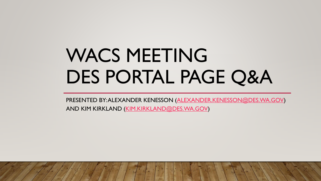# WACS MEETING DES PORTAL PAGE Q&A

PRESENTED BY: ALEXANDER KENESSON ([ALEXANDER.KENESSON@DES.WA.GOV\)](mailto:Alexander.Kenesson@DES.wa.gov)

AND KIM KIRKLAND [\(KIM.KIRKLAND@DES.WA.GOV\)](mailto:Kim.Kirkland@des.wa.gov)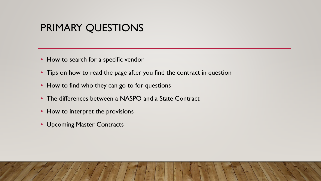# PRIMARY QUESTIONS

- How to search for a specific vendor
- Tips on how to read the page after you find the contract in question
- How to find who they can go to for questions
- The differences between a NASPO and a State Contract
- How to interpret the provisions
- Upcoming Master Contracts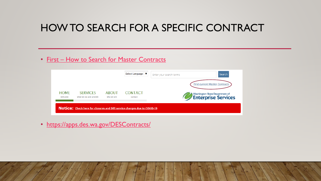# HOW TO SEARCH FOR A SPECIFIC CONTRACT

#### • First – [How to Search for Master Contracts](https://apps.des.wa.gov/DESContracts/)

|                        |                                           |                            | Select Language   ▼       | Enter your search terms              | Search |
|------------------------|-------------------------------------------|----------------------------|---------------------------|--------------------------------------|--------|
|                        |                                           |                            |                           | <b>Find current Master Contracts</b> |        |
| <b>HOME</b><br>welcome | <b>SERVICES</b><br>what we do and provide | <b>ABOUT</b><br>who we are | <b>CONTACT</b><br>contact | Washington State Department of       |        |

• <https://apps.des.wa.gov/DESContracts/>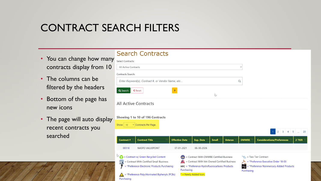# CONTRACT SEARCH FILTERS

- You can change how many Search Contracts contracts display from 10
- The columns can be filtered by the headers
- Bottom of the page has new icons
- The page will auto display recent contracts you searched

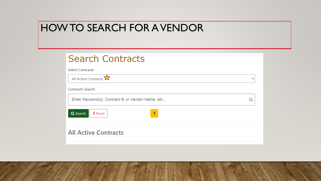# HOW TO SEARCH FOR A VENDOR

| <b>Search Contracts</b>                           |              |
|---------------------------------------------------|--------------|
| <b>Select Contracts:</b>                          |              |
| All Active Contracts $\overrightarrow{X}$         | $\checkmark$ |
| <b>Contracts Search:</b>                          |              |
| Enter Keyword(s), Contract #, or Vendor Name, etc |              |
| Q Search<br>$\triangle$ Reset<br><sup>2</sup>     |              |
| <b>All Active Contracts</b>                       |              |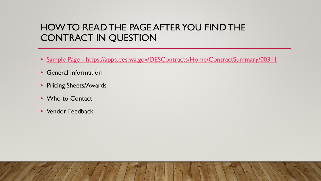### HOW TO READ THE PAGE AFTER YOU FIND THE CONTRACT IN QUESTION

- Sample Page <https://apps.des.wa.gov/DESContracts/Home/ContractSummary/00311>
- General Information
- Pricing Sheets/Awards
- Who to Contact
- Vendor Feedback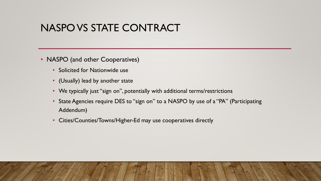# NASPO VS STATE CONTRACT

- NASPO (and other Cooperatives)
	- Solicited for Nationwide use
	- (Usually) lead by another state
	- We typically just "sign on", potentially with additional terms/restrictions
	- State Agencies require DES to "sign on" to a NASPO by use of a "PA" (Participating Addendum)
	- Cities/Counties/Towns/Higher-Ed may use cooperatives directly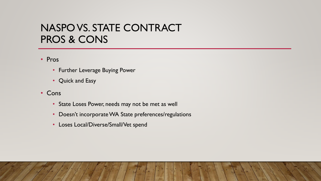# NASPO VS. STATE CONTRACT PROS & CONS

• Pros

- Further Leverage Buying Power
- Quick and Easy
- Cons
	- State Loses Power, needs may not be met as well
	- Doesn't incorporate WA State preferences/regulations
	- Loses Local/Diverse/Small/Vet spend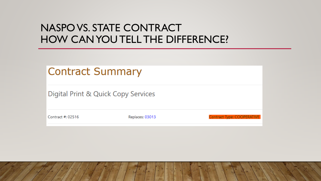# NASPO VS. STATE CONTRACT HOW CAN YOU TELL THE DIFFERENCE?

| Contract Summary                    |                 |                            |
|-------------------------------------|-----------------|----------------------------|
| Digital Print & Quick Copy Services |                 |                            |
| Contract #: 02516                   | Replaces: 03013 | Contract Type: COOPERATIVE |